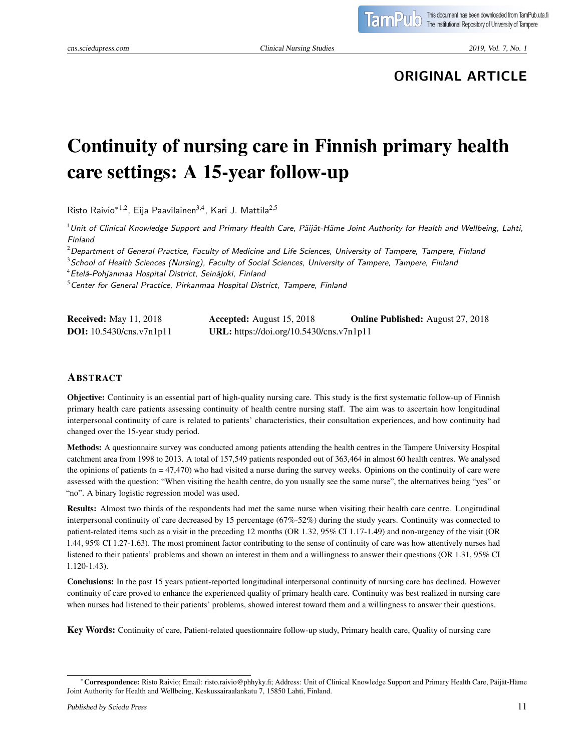# **ORIGINAL ARTICLE**

# Continuity of nursing care in Finnish primary health care settings: A 15-year follow-up

Risto Raivio<sup>\*1,2</sup>, Eija Paavilainen<sup>3,4</sup>, Kari J. Mattila<sup>2,5</sup>

 $1$ Unit of Clinical Knowledge Support and Primary Health Care, Päijät-Häme Joint Authority for Health and Wellbeing, Lahti, Finland

 $^{2}$ Department of General Practice, Faculty of Medicine and Life Sciences, University of Tampere, Tampere, Finland

<sup>3</sup> School of Health Sciences (Nursing), Faculty of Social Sciences, University of Tampere, Tampere, Finland

<sup>4</sup>Etelä-Pohjanmaa Hospital District, Seinäjoki, Finland

 $5$ Center for General Practice, Pirkanmaa Hospital District, Tampere, Finland

| <b>Received:</b> May 11, 2018     | <b>Accepted:</b> August 15, 2018         | <b>Online Published:</b> August 27, 2018 |
|-----------------------------------|------------------------------------------|------------------------------------------|
| <b>DOI:</b> $10.5430/cns.v7n1p11$ | URL: https://doi.org/10.5430/cns.v7n1p11 |                                          |

#### ABSTRACT

Objective: Continuity is an essential part of high-quality nursing care. This study is the first systematic follow-up of Finnish primary health care patients assessing continuity of health centre nursing staff. The aim was to ascertain how longitudinal interpersonal continuity of care is related to patients' characteristics, their consultation experiences, and how continuity had changed over the 15-year study period.

Methods: A questionnaire survey was conducted among patients attending the health centres in the Tampere University Hospital catchment area from 1998 to 2013. A total of 157,549 patients responded out of 363,464 in almost 60 health centres. We analysed the opinions of patients  $(n = 47,470)$  who had visited a nurse during the survey weeks. Opinions on the continuity of care were assessed with the question: "When visiting the health centre, do you usually see the same nurse", the alternatives being "yes" or "no". A binary logistic regression model was used.

Results: Almost two thirds of the respondents had met the same nurse when visiting their health care centre. Longitudinal interpersonal continuity of care decreased by 15 percentage (67%-52%) during the study years. Continuity was connected to patient-related items such as a visit in the preceding 12 months (OR 1.32, 95% CI 1.17-1.49) and non-urgency of the visit (OR 1.44, 95% CI 1.27-1.63). The most prominent factor contributing to the sense of continuity of care was how attentively nurses had listened to their patients' problems and shown an interest in them and a willingness to answer their questions (OR 1.31, 95% CI 1.120-1.43).

Conclusions: In the past 15 years patient-reported longitudinal interpersonal continuity of nursing care has declined. However continuity of care proved to enhance the experienced quality of primary health care. Continuity was best realized in nursing care when nurses had listened to their patients' problems, showed interest toward them and a willingness to answer their questions.

Key Words: Continuity of care, Patient-related questionnaire follow-up study, Primary health care, Quality of nursing care

<sup>∗</sup>Correspondence: Risto Raivio; Email: risto.raivio@phhyky.fi; Address: Unit of Clinical Knowledge Support and Primary Health Care, Päijät-Häme Joint Authority for Health and Wellbeing, Keskussairaalankatu 7, 15850 Lahti, Finland.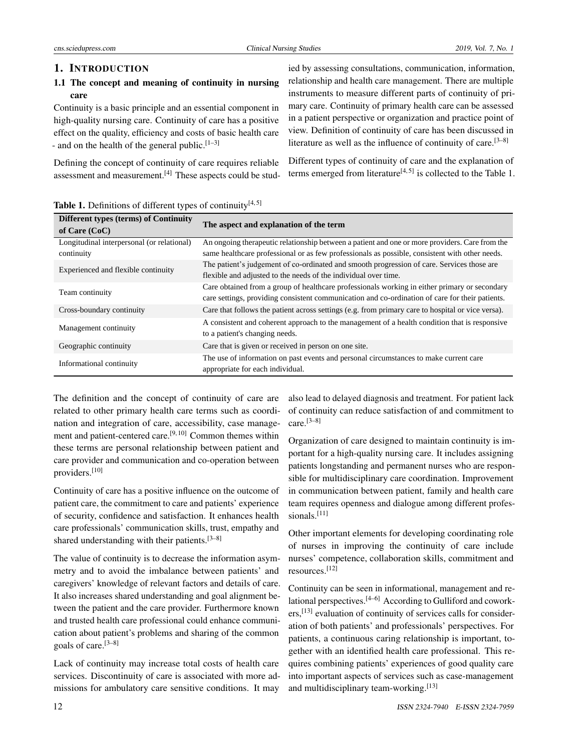cns.sciedupress.com Clinical Nursing Studies 2019, Vol. 7, No. 1

# 1. INTRODUCTION

# 1.1 The concept and meaning of continuity in nursing care

Continuity is a basic principle and an essential component in high-quality nursing care. Continuity of care has a positive effect on the quality, efficiency and costs of basic health care - and on the health of the general public.<sup>[\[1–](#page-8-0)[3\]](#page-8-1)</sup>

Defining the concept of continuity of care requires reliable assessment and measurement.[\[4\]](#page-8-2) These aspects could be studied by assessing consultations, communication, information, relationship and health care management. There are multiple instruments to measure different parts of continuity of primary care. Continuity of primary health care can be assessed in a patient perspective or organization and practice point of view. Definition of continuity of care has been discussed in literature as well as the influence of continuity of care.<sup>[\[3](#page-8-1)[–8\]](#page-8-3)</sup>

Different types of continuity of care and the explanation of terms emerged from literature<sup>[\[4,](#page-8-2)[5\]](#page-8-4)</sup> is collected to the Table 1.

| Table 1. Definitions of different types of continuity $[4,5]$ |  |  |  |  |  |
|---------------------------------------------------------------|--|--|--|--|--|
|---------------------------------------------------------------|--|--|--|--|--|

| <b>Different types (terms) of Continuity</b><br>of Care $(CoC)$ | The aspect and explanation of the term                                                            |
|-----------------------------------------------------------------|---------------------------------------------------------------------------------------------------|
| Longitudinal interpersonal (or relational)                      | An ongoing therapeutic relationship between a patient and one or more providers. Care from the    |
| continuity                                                      | same healthcare professional or as few professionals as possible, consistent with other needs.    |
| Experienced and flexible continuity                             | The patient's judgement of co-ordinated and smooth progression of care. Services those are        |
|                                                                 | flexible and adjusted to the needs of the individual over time.                                   |
| Team continuity                                                 | Care obtained from a group of healthcare professionals working in either primary or secondary     |
|                                                                 | care settings, providing consistent communication and co-ordination of care for their patients.   |
| Cross-boundary continuity                                       | Care that follows the patient across settings (e.g. from primary care to hospital or vice versa). |
| Management continuity                                           | A consistent and coherent approach to the management of a health condition that is responsive     |
|                                                                 | to a patient's changing needs.                                                                    |
| Geographic continuity                                           | Care that is given or received in person on one site.                                             |
|                                                                 | The use of information on past events and personal circumstances to make current care             |
| Informational continuity                                        | appropriate for each individual.                                                                  |

The definition and the concept of continuity of care are related to other primary health care terms such as coordination and integration of care, accessibility, case management and patient-centered care.[\[9,](#page-8-5) [10\]](#page-8-6) Common themes within these terms are personal relationship between patient and care provider and communication and co-operation between providers.[\[10\]](#page-8-6)

Continuity of care has a positive influence on the outcome of patient care, the commitment to care and patients' experience of security, confidence and satisfaction. It enhances health care professionals' communication skills, trust, empathy and shared understanding with their patients.  $[3-8]$  $[3-8]$ 

The value of continuity is to decrease the information asymmetry and to avoid the imbalance between patients' and caregivers' knowledge of relevant factors and details of care. It also increases shared understanding and goal alignment between the patient and the care provider. Furthermore known and trusted health care professional could enhance communication about patient's problems and sharing of the common goals of care.[\[3](#page-8-1)[–8\]](#page-8-3)

Lack of continuity may increase total costs of health care services. Discontinuity of care is associated with more admissions for ambulatory care sensitive conditions. It may also lead to delayed diagnosis and treatment. For patient lack of continuity can reduce satisfaction of and commitment to  $care.<sup>[3-8]</sup>$  $care.<sup>[3-8]</sup>$  $care.<sup>[3-8]</sup>$ 

Organization of care designed to maintain continuity is important for a high-quality nursing care. It includes assigning patients longstanding and permanent nurses who are responsible for multidisciplinary care coordination. Improvement in communication between patient, family and health care team requires openness and dialogue among different professionals. $[11]$ 

Other important elements for developing coordinating role of nurses in improving the continuity of care include nurses' competence, collaboration skills, commitment and resources.[\[12\]](#page-8-8)

Continuity can be seen in informational, management and relational perspectives. $[4-6]$  $[4-6]$  According to Gulliford and cowork-ers,<sup>[\[13\]](#page-8-10)</sup> evaluation of continuity of services calls for consideration of both patients' and professionals' perspectives. For patients, a continuous caring relationship is important, together with an identified health care professional. This requires combining patients' experiences of good quality care into important aspects of services such as case-management and multidisciplinary team-working.<sup>[\[13\]](#page-8-10)</sup>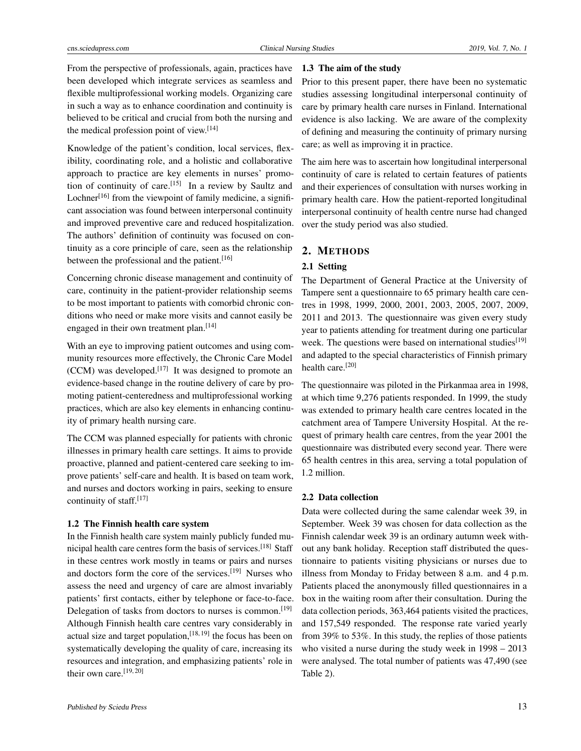From the perspective of professionals, again, practices have been developed which integrate services as seamless and flexible multiprofessional working models. Organizing care in such a way as to enhance coordination and continuity is believed to be critical and crucial from both the nursing and the medical profession point of view.<sup>[\[14\]](#page-8-11)</sup>

Knowledge of the patient's condition, local services, flexibility, coordinating role, and a holistic and collaborative approach to practice are key elements in nurses' promo-tion of continuity of care.<sup>[\[15\]](#page-8-12)</sup> In a review by Saultz and Lochner<sup>[\[16\]](#page-8-13)</sup> from the viewpoint of family medicine, a significant association was found between interpersonal continuity and improved preventive care and reduced hospitalization. The authors' definition of continuity was focused on continuity as a core principle of care, seen as the relationship between the professional and the patient.<sup>[\[16\]](#page-8-13)</sup>

Concerning chronic disease management and continuity of care, continuity in the patient-provider relationship seems to be most important to patients with comorbid chronic conditions who need or make more visits and cannot easily be engaged in their own treatment plan.<sup>[\[14\]](#page-8-11)</sup>

With an eye to improving patient outcomes and using community resources more effectively, the Chronic Care Model  $(CCM)$  was developed.<sup>[\[17\]](#page-9-0)</sup> It was designed to promote an evidence-based change in the routine delivery of care by promoting patient-centeredness and multiprofessional working practices, which are also key elements in enhancing continuity of primary health nursing care.

The CCM was planned especially for patients with chronic illnesses in primary health care settings. It aims to provide proactive, planned and patient-centered care seeking to improve patients' self-care and health. It is based on team work, and nurses and doctors working in pairs, seeking to ensure continuity of staff.<sup>[\[17\]](#page-9-0)</sup>

#### 1.2 The Finnish health care system

In the Finnish health care system mainly publicly funded mu-nicipal health care centres form the basis of services.<sup>[\[18\]](#page-9-1)</sup> Staff in these centres work mostly in teams or pairs and nurses and doctors form the core of the services.[\[19\]](#page-9-2) Nurses who assess the need and urgency of care are almost invariably patients' first contacts, either by telephone or face-to-face. Delegation of tasks from doctors to nurses is common.[\[19\]](#page-9-2) Although Finnish health care centres vary considerably in actual size and target population, [\[18,](#page-9-1) [19\]](#page-9-2) the focus has been on systematically developing the quality of care, increasing its resources and integration, and emphasizing patients' role in their own care.<sup>[\[19,](#page-9-2) [20\]](#page-9-3)</sup>

# 1.3 The aim of the study

Prior to this present paper, there have been no systematic studies assessing longitudinal interpersonal continuity of care by primary health care nurses in Finland. International evidence is also lacking. We are aware of the complexity of defining and measuring the continuity of primary nursing care; as well as improving it in practice.

The aim here was to ascertain how longitudinal interpersonal continuity of care is related to certain features of patients and their experiences of consultation with nurses working in primary health care. How the patient-reported longitudinal interpersonal continuity of health centre nurse had changed over the study period was also studied.

# 2. METHODS

# 2.1 Setting

The Department of General Practice at the University of Tampere sent a questionnaire to 65 primary health care centres in 1998, 1999, 2000, 2001, 2003, 2005, 2007, 2009, 2011 and 2013. The questionnaire was given every study year to patients attending for treatment during one particular week. The questions were based on international studies<sup>[\[19\]](#page-9-2)</sup> and adapted to the special characteristics of Finnish primary health care.<sup>[\[20\]](#page-9-3)</sup>

The questionnaire was piloted in the Pirkanmaa area in 1998, at which time 9,276 patients responded. In 1999, the study was extended to primary health care centres located in the catchment area of Tampere University Hospital. At the request of primary health care centres, from the year 2001 the questionnaire was distributed every second year. There were 65 health centres in this area, serving a total population of 1.2 million.

#### 2.2 Data collection

Data were collected during the same calendar week 39, in September. Week 39 was chosen for data collection as the Finnish calendar week 39 is an ordinary autumn week without any bank holiday. Reception staff distributed the questionnaire to patients visiting physicians or nurses due to illness from Monday to Friday between 8 a.m. and 4 p.m. Patients placed the anonymously filled questionnaires in a box in the waiting room after their consultation. During the data collection periods, 363,464 patients visited the practices, and 157,549 responded. The response rate varied yearly from 39% to 53%. In this study, the replies of those patients who visited a nurse during the study week in 1998 – 2013 were analysed. The total number of patients was 47,490 (see Table 2).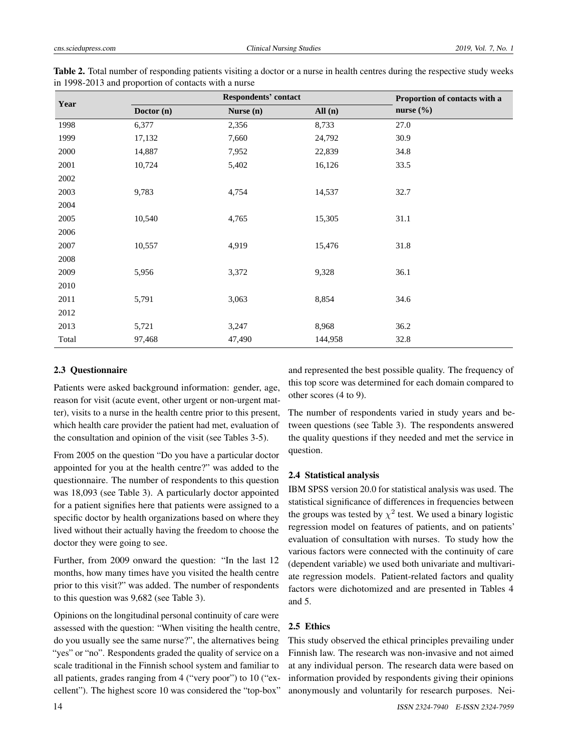|       | <b>Respondents' contact</b> | Proportion of contacts with a |         |               |
|-------|-----------------------------|-------------------------------|---------|---------------|
| Year  | Doctor (n)                  | Nurse (n)                     | All(n)  | nurse $(\% )$ |
| 1998  | 6,377                       | 2,356                         | 8,733   | 27.0          |
| 1999  | 17,132                      | 7,660                         | 24,792  | 30.9          |
| 2000  | 14,887                      | 7,952                         | 22,839  | 34.8          |
| 2001  | 10,724                      | 5,402                         | 16,126  | 33.5          |
| 2002  |                             |                               |         |               |
| 2003  | 9,783                       | 4,754                         | 14,537  | 32.7          |
| 2004  |                             |                               |         |               |
| 2005  | 10,540                      | 4,765                         | 15,305  | 31.1          |
| 2006  |                             |                               |         |               |
| 2007  | 10,557                      | 4,919                         | 15,476  | 31.8          |
| 2008  |                             |                               |         |               |
| 2009  | 5,956                       | 3,372                         | 9,328   | 36.1          |
| 2010  |                             |                               |         |               |
| 2011  | 5,791                       | 3,063                         | 8,854   | 34.6          |
| 2012  |                             |                               |         |               |
| 2013  | 5,721                       | 3,247                         | 8,968   | 36.2          |
| Total | 97,468                      | 47,490                        | 144,958 | 32.8          |

Table 2. Total number of responding patients visiting a doctor or a nurse in health centres during the respective study weeks in 1998-2013 and proportion of contacts with a nurse

#### 2.3 Questionnaire

Patients were asked background information: gender, age, reason for visit (acute event, other urgent or non-urgent matter), visits to a nurse in the health centre prior to this present, which health care provider the patient had met, evaluation of the consultation and opinion of the visit (see Tables 3-5).

From 2005 on the question "Do you have a particular doctor appointed for you at the health centre?" was added to the questionnaire. The number of respondents to this question was 18,093 (see Table 3). A particularly doctor appointed for a patient signifies here that patients were assigned to a specific doctor by health organizations based on where they lived without their actually having the freedom to choose the doctor they were going to see.

Further, from 2009 onward the question: "In the last 12 months, how many times have you visited the health centre prior to this visit?" was added. The number of respondents to this question was 9,682 (see Table 3).

Opinions on the longitudinal personal continuity of care were assessed with the question: "When visiting the health centre, do you usually see the same nurse?", the alternatives being "yes" or "no". Respondents graded the quality of service on a scale traditional in the Finnish school system and familiar to all patients, grades ranging from 4 ("very poor") to 10 ("excellent"). The highest score 10 was considered the "top-box"

and represented the best possible quality. The frequency of this top score was determined for each domain compared to other scores (4 to 9).

The number of respondents varied in study years and between questions (see Table 3). The respondents answered the quality questions if they needed and met the service in question.

# 2.4 Statistical analysis

IBM SPSS version 20.0 for statistical analysis was used. The statistical significance of differences in frequencies between the groups was tested by  $\chi^2$  test. We used a binary logistic regression model on features of patients, and on patients' evaluation of consultation with nurses. To study how the various factors were connected with the continuity of care (dependent variable) we used both univariate and multivariate regression models. Patient-related factors and quality factors were dichotomized and are presented in Tables 4 and 5.

# 2.5 Ethics

This study observed the ethical principles prevailing under Finnish law. The research was non-invasive and not aimed at any individual person. The research data were based on information provided by respondents giving their opinions anonymously and voluntarily for research purposes. Nei-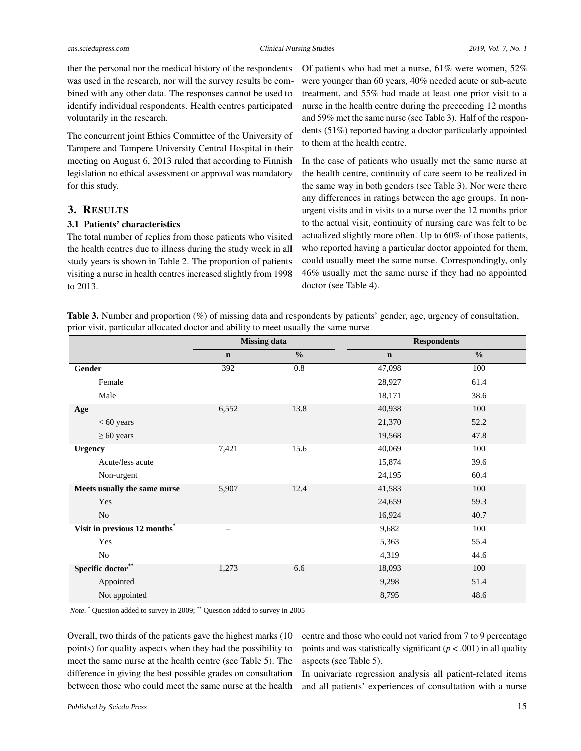ther the personal nor the medical history of the respondents was used in the research, nor will the survey results be combined with any other data. The responses cannot be used to identify individual respondents. Health centres participated voluntarily in the research.

The concurrent joint Ethics Committee of the University of Tampere and Tampere University Central Hospital in their meeting on August 6, 2013 ruled that according to Finnish legislation no ethical assessment or approval was mandatory for this study.

#### 3. RESULTS

# 3.1 Patients' characteristics

The total number of replies from those patients who visited the health centres due to illness during the study week in all study years is shown in Table 2. The proportion of patients visiting a nurse in health centres increased slightly from 1998 to 2013.

Of patients who had met a nurse, 61% were women, 52% were younger than 60 years, 40% needed acute or sub-acute treatment, and 55% had made at least one prior visit to a nurse in the health centre during the preceeding 12 months and 59% met the same nurse (see Table 3). Half of the respondents (51%) reported having a doctor particularly appointed to them at the health centre.

In the case of patients who usually met the same nurse at the health centre, continuity of care seem to be realized in the same way in both genders (see Table 3). Nor were there any differences in ratings between the age groups. In nonurgent visits and in visits to a nurse over the 12 months prior to the actual visit, continuity of nursing care was felt to be actualized slightly more often. Up to 60% of those patients, who reported having a particular doctor appointed for them, could usually meet the same nurse. Correspondingly, only 46% usually met the same nurse if they had no appointed doctor (see Table 4).

Table 3. Number and proportion (%) of missing data and respondents by patients' gender, age, urgency of consultation, prior visit, particular allocated doctor and ability to meet usually the same nurse

|                                          | <b>Missing data</b> |               | <b>Respondents</b> |               |
|------------------------------------------|---------------------|---------------|--------------------|---------------|
|                                          | $\mathbf n$         | $\frac{0}{0}$ | $\mathbf n$        | $\frac{0}{0}$ |
| Gender                                   | 392                 | 0.8           | 47,098             | 100           |
| Female                                   |                     |               | 28,927             | 61.4          |
| Male                                     |                     |               | 18,171             | 38.6          |
| Age                                      | 6,552               | 13.8          | 40,938             | 100           |
| $< 60$ years                             |                     |               | 21,370             | 52.2          |
| $\geq 60$ years                          |                     |               | 19,568             | 47.8          |
| <b>Urgency</b>                           | 7,421               | 15.6          | 40,069             | 100           |
| Acute/less acute                         |                     |               | 15,874             | 39.6          |
| Non-urgent                               |                     |               | 24,195             | 60.4          |
| Meets usually the same nurse             | 5,907               | 12.4          | 41,583             | 100           |
| Yes                                      |                     |               | 24,659             | 59.3          |
| N <sub>o</sub>                           |                     |               | 16,924             | 40.7          |
| Visit in previous 12 months <sup>*</sup> |                     |               | 9,682              | 100           |
| Yes                                      |                     |               | 5,363              | 55.4          |
| N <sub>o</sub>                           |                     |               | 4,319              | 44.6          |
| Specific doctor**                        | 1,273               | 6.6           | 18,093             | 100           |
| Appointed                                |                     |               | 9,298              | 51.4          |
| Not appointed                            |                     |               | 8,795              | 48.6          |

*Note*. \* Question added to survey in 2009; \*\* Question added to survey in 2005

Overall, two thirds of the patients gave the highest marks (10 points) for quality aspects when they had the possibility to meet the same nurse at the health centre (see Table 5). The difference in giving the best possible grades on consultation between those who could meet the same nurse at the health

centre and those who could not varied from 7 to 9 percentage points and was statistically significant  $(p < .001)$  in all quality aspects (see Table 5).

In univariate regression analysis all patient-related items and all patients' experiences of consultation with a nurse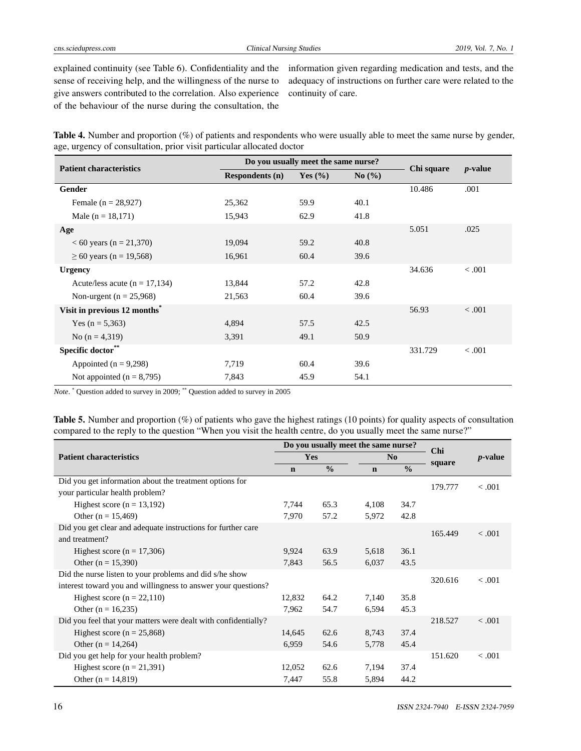explained continuity (see Table 6). Confidentiality and the sense of receiving help, and the willingness of the nurse to give answers contributed to the correlation. Also experience of the behaviour of the nurse during the consultation, the

information given regarding medication and tests, and the adequacy of instructions on further care were related to the continuity of care.

Table 4. Number and proportion (%) of patients and respondents who were usually able to meet the same nurse by gender, age, urgency of consultation, prior visit particular allocated doctor

| <b>Patient characteristics</b>           | Do you usually meet the same nurse? |             |       |            |            |
|------------------------------------------|-------------------------------------|-------------|-------|------------|------------|
|                                          | <b>Respondents (n)</b>              | Yes $(\% )$ | No(%) | Chi square | $p$ -value |
| Gender                                   |                                     |             |       | 10.486     | .001       |
| Female $(n = 28,927)$                    | 25,362                              | 59.9        | 40.1  |            |            |
| Male ( $n = 18,171$ )                    | 15,943                              | 62.9        | 41.8  |            |            |
| Age                                      |                                     |             |       | 5.051      | .025       |
| $< 60$ years (n = 21,370)                | 19,094                              | 59.2        | 40.8  |            |            |
| $\geq 60$ years (n = 19,568)             | 16,961                              | 60.4        | 39.6  |            |            |
| <b>Urgency</b>                           |                                     |             |       | 34.636     | < 0.001    |
| Acute/less acute ( $n = 17,134$ )        | 13,844                              | 57.2        | 42.8  |            |            |
| Non-urgent ( $n = 25,968$ )              | 21,563                              | 60.4        | 39.6  |            |            |
| Visit in previous 12 months <sup>*</sup> |                                     |             |       | 56.93      | < .001     |
| Yes $(n = 5,363)$                        | 4,894                               | 57.5        | 42.5  |            |            |
| No $(n = 4,319)$                         | 3,391                               | 49.1        | 50.9  |            |            |
| Specific doctor**                        |                                     |             |       | 331.729    | < 0.001    |
| Appointed ( $n = 9,298$ )                | 7,719                               | 60.4        | 39.6  |            |            |
| Not appointed $(n = 8,795)$              | 7,843                               | 45.9        | 54.1  |            |            |

*Note*. \* Question added to survey in 2009; \*\* Question added to survey in 2005

Table 5. Number and proportion (%) of patients who gave the highest ratings (10 points) for quality aspects of consultation compared to the reply to the question "When you visit the health centre, do you usually meet the same nurse?"

|                                                                | Do you usually meet the same nurse? |               |             |               | <b>Chi</b> | <i>p</i> -value |
|----------------------------------------------------------------|-------------------------------------|---------------|-------------|---------------|------------|-----------------|
| <b>Patient characteristics</b>                                 |                                     | Yes           |             | No            |            |                 |
|                                                                | $\mathbf n$                         | $\frac{0}{0}$ | $\mathbf n$ | $\frac{0}{0}$ | square     |                 |
| Did you get information about the treatment options for        |                                     |               |             |               | 179.777    | $-.001$         |
| your particular health problem?                                |                                     |               |             |               |            |                 |
| Highest score ( $n = 13,192$ )                                 | 7,744                               | 65.3          | 4,108       | 34.7          |            |                 |
| Other ( $n = 15,469$ )                                         | 7,970                               | 57.2          | 5,972       | 42.8          |            |                 |
| Did you get clear and adequate instructions for further care   |                                     |               |             |               | 165.449    | $-.001$         |
| and treatment?                                                 |                                     |               |             |               |            |                 |
| Highest score ( $n = 17,306$ )                                 | 9,924                               | 63.9          | 5,618       | 36.1          |            |                 |
| Other ( $n = 15,390$ )                                         | 7,843                               | 56.5          | 6,037       | 43.5          |            |                 |
| Did the nurse listen to your problems and did s/he show        |                                     |               |             |               | 320.616    | < 0.001         |
| interest toward you and willingness to answer your questions?  |                                     |               |             |               |            |                 |
| Highest score $(n = 22,110)$                                   | 12,832                              | 64.2          | 7,140       | 35.8          |            |                 |
| Other ( $n = 16,235$ )                                         | 7,962                               | 54.7          | 6,594       | 45.3          |            |                 |
| Did you feel that your matters were dealt with confidentially? |                                     |               |             |               | 218.527    | $-.001$         |
| Highest score ( $n = 25,868$ )                                 | 14,645                              | 62.6          | 8,743       | 37.4          |            |                 |
| Other ( $n = 14,264$ )                                         | 6,959                               | 54.6          | 5,778       | 45.4          |            |                 |
| Did you get help for your health problem?                      |                                     |               |             |               | 151.620    | < 0.001         |
| Highest score ( $n = 21,391$ )                                 | 12,052                              | 62.6          | 7,194       | 37.4          |            |                 |
| Other ( $n = 14,819$ )                                         | 7,447                               | 55.8          | 5,894       | 44.2          |            |                 |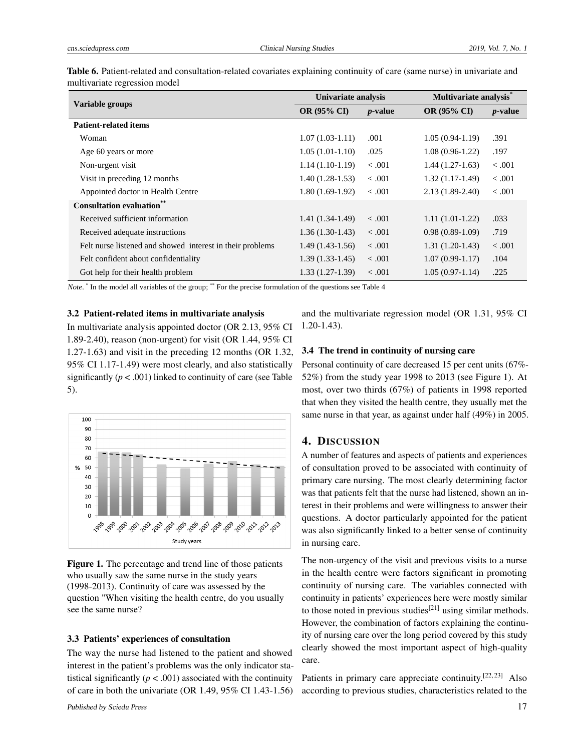| Variable groups                                           | Univariate analysis |                 |                    | Multivariate analysis* |  |
|-----------------------------------------------------------|---------------------|-----------------|--------------------|------------------------|--|
|                                                           | <b>OR (95% CI)</b>  | <i>p</i> -value | <b>OR (95% CI)</b> | <i>p</i> -value        |  |
| <b>Patient-related items</b>                              |                     |                 |                    |                        |  |
| Woman                                                     | $1.07(1.03-1.11)$   | .001            | $1.05(0.94-1.19)$  | .391                   |  |
| Age 60 years or more                                      | $1.05(1.01-1.10)$   | .025            | $1.08(0.96-1.22)$  | .197                   |  |
| Non-urgent visit                                          | $1.14(1.10-1.19)$   | $-.001$         | $1.44(1.27-1.63)$  | < 0.001                |  |
| Visit in preceding 12 months                              | $1.40(1.28-1.53)$   | $-.001$         | $1.32(1.17-1.49)$  | $-.001$                |  |
| Appointed doctor in Health Centre                         | $1.80(1.69-1.92)$   | $-.001$         | $2.13(1.89-2.40)$  | $-.001$                |  |
| <b>Consultation evaluation*</b>                           |                     |                 |                    |                        |  |
| Received sufficient information                           | $1.41(1.34-1.49)$   | $-.001$         | $1.11(1.01-1.22)$  | .033                   |  |
| Received adequate instructions                            | $1.36(1.30-1.43)$   | < 0.001         | $0.98(0.89-1.09)$  | .719                   |  |
| Felt nurse listened and showed interest in their problems | $1.49(1.43-1.56)$   | $-.001$         | $1.31(1.20-1.43)$  | $-.001$                |  |
| Felt confident about confidentiality                      | $1.39(1.33-1.45)$   | $-.001$         | $1.07(0.99-1.17)$  | .104                   |  |
| Got help for their health problem                         | $1.33(1.27-1.39)$   | < 0.001         | $1.05(0.97-1.14)$  | .225                   |  |

Table 6. Patient-related and consultation-related covariates explaining continuity of care (same nurse) in univariate and multivariate regression model

*Note*. <sup>\*</sup> In the model all variables of the group; \*\* For the precise formulation of the questions see Table 4

#### 3.2 Patient-related items in multivariate analysis

In multivariate analysis appointed doctor (OR 2.13, 95% CI 1.89-2.40), reason (non-urgent) for visit (OR 1.44, 95% CI 1.27-1.63) and visit in the preceding 12 months (OR 1.32, 95% CI 1.17-1.49) were most clearly, and also statistically significantly ( $p < .001$ ) linked to continuity of care (see Table 5).

Figure 1. The percentage and trend line of those patients who usually saw the same nurse in the study years (1998-2013). Continuity of care was assessed by the question "When visiting the health centre, do you usually

ేల్లు <sup>చ</sup>ర్మి చిల్లు చిల్లు చిల్లు చిల్లు చిల్ల చిల్లు చిల్లు చిన్నారు. చిన్న Study years

The way the nurse had listened to the patient and showed interest in the patient's problems was the only indicator statistical significantly  $(p < .001)$  associated with the continuity of care in both the univariate (OR 1.49, 95% CI 1.43-1.56)

3.3 Patients' experiences of consultation

and the multivariate regression model (OR 1.31, 95% CI 1.20-1.43).

# 3.4 The trend in continuity of nursing care

Personal continuity of care decreased 15 per cent units (67%- 52%) from the study year 1998 to 2013 (see Figure 1). At most, over two thirds (67%) of patients in 1998 reported that when they visited the health centre, they usually met the same nurse in that year, as against under half (49%) in 2005.

#### 4. DISCUSSION

A number of features and aspects of patients and experiences of consultation proved to be associated with continuity of primary care nursing. The most clearly determining factor was that patients felt that the nurse had listened, shown an interest in their problems and were willingness to answer their questions. A doctor particularly appointed for the patient was also significantly linked to a better sense of continuity in nursing care.

The non-urgency of the visit and previous visits to a nurse in the health centre were factors significant in promoting continuity of nursing care. The variables connected with continuity in patients' experiences here were mostly similar to those noted in previous studies<sup>[\[21\]](#page-9-4)</sup> using similar methods. However, the combination of factors explaining the continuity of nursing care over the long period covered by this study clearly showed the most important aspect of high-quality care.

Patients in primary care appreciate continuity.<sup>[\[22,](#page-9-5) [23\]](#page-9-6)</sup> Also according to previous studies, characteristics related to the

see the same nurse?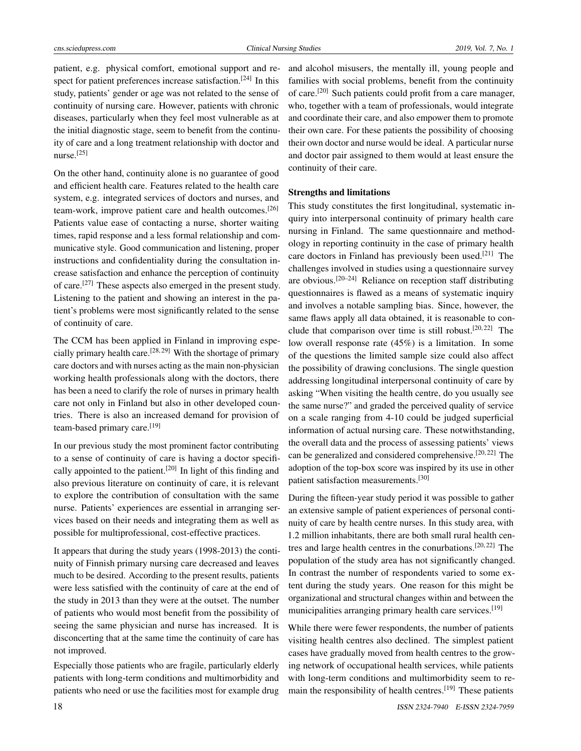patient, e.g. physical comfort, emotional support and re-spect for patient preferences increase satisfaction.<sup>[\[24\]](#page-9-7)</sup> In this study, patients' gender or age was not related to the sense of continuity of nursing care. However, patients with chronic diseases, particularly when they feel most vulnerable as at the initial diagnostic stage, seem to benefit from the continuity of care and a long treatment relationship with doctor and nurse.[\[25\]](#page-9-8)

On the other hand, continuity alone is no guarantee of good and efficient health care. Features related to the health care system, e.g. integrated services of doctors and nurses, and team-work, improve patient care and health outcomes.[\[26\]](#page-9-9) Patients value ease of contacting a nurse, shorter waiting times, rapid response and a less formal relationship and communicative style. Good communication and listening, proper instructions and confidentiality during the consultation increase satisfaction and enhance the perception of continuity of care.[\[27\]](#page-9-10) These aspects also emerged in the present study. Listening to the patient and showing an interest in the patient's problems were most significantly related to the sense of continuity of care.

The CCM has been applied in Finland in improving espe-cially primary health care.<sup>[\[28,](#page-9-11) [29\]](#page-9-12)</sup> With the shortage of primary care doctors and with nurses acting as the main non-physician working health professionals along with the doctors, there has been a need to clarify the role of nurses in primary health care not only in Finland but also in other developed countries. There is also an increased demand for provision of team-based primary care.<sup>[\[19\]](#page-9-2)</sup>

In our previous study the most prominent factor contributing to a sense of continuity of care is having a doctor specifi-cally appointed to the patient.<sup>[\[20\]](#page-9-3)</sup> In light of this finding and also previous literature on continuity of care, it is relevant to explore the contribution of consultation with the same nurse. Patients' experiences are essential in arranging services based on their needs and integrating them as well as possible for multiprofessional, cost-effective practices.

It appears that during the study years (1998-2013) the continuity of Finnish primary nursing care decreased and leaves much to be desired. According to the present results, patients were less satisfied with the continuity of care at the end of the study in 2013 than they were at the outset. The number of patients who would most benefit from the possibility of seeing the same physician and nurse has increased. It is disconcerting that at the same time the continuity of care has not improved.

Especially those patients who are fragile, particularly elderly patients with long-term conditions and multimorbidity and patients who need or use the facilities most for example drug

and alcohol misusers, the mentally ill, young people and families with social problems, benefit from the continuity of care.[\[20\]](#page-9-3) Such patients could profit from a care manager, who, together with a team of professionals, would integrate and coordinate their care, and also empower them to promote their own care. For these patients the possibility of choosing their own doctor and nurse would be ideal. A particular nurse and doctor pair assigned to them would at least ensure the continuity of their care.

#### Strengths and limitations

This study constitutes the first longitudinal, systematic inquiry into interpersonal continuity of primary health care nursing in Finland. The same questionnaire and methodology in reporting continuity in the case of primary health care doctors in Finland has previously been used.[\[21\]](#page-9-4) The challenges involved in studies using a questionnaire survey are obvious.[\[20](#page-9-3)[–24\]](#page-9-7) Reliance on reception staff distributing questionnaires is flawed as a means of systematic inquiry and involves a notable sampling bias. Since, however, the same flaws apply all data obtained, it is reasonable to con-clude that comparison over time is still robust.<sup>[\[20,](#page-9-3) [22\]](#page-9-5)</sup> The low overall response rate (45%) is a limitation. In some of the questions the limited sample size could also affect the possibility of drawing conclusions. The single question addressing longitudinal interpersonal continuity of care by asking "When visiting the health centre, do you usually see the same nurse?" and graded the perceived quality of service on a scale ranging from 4-10 could be judged superficial information of actual nursing care. These notwithstanding, the overall data and the process of assessing patients' views can be generalized and considered comprehensive.[\[20,](#page-9-3) [22\]](#page-9-5) The adoption of the top-box score was inspired by its use in other patient satisfaction measurements.[\[30\]](#page-9-13)

During the fifteen-year study period it was possible to gather an extensive sample of patient experiences of personal continuity of care by health centre nurses. In this study area, with 1.2 million inhabitants, there are both small rural health centres and large health centres in the conurbations.[\[20,](#page-9-3) [22\]](#page-9-5) The population of the study area has not significantly changed. In contrast the number of respondents varied to some extent during the study years. One reason for this might be organizational and structural changes within and between the municipalities arranging primary health care services.<sup>[\[19\]](#page-9-2)</sup>

While there were fewer respondents, the number of patients visiting health centres also declined. The simplest patient cases have gradually moved from health centres to the growing network of occupational health services, while patients with long-term conditions and multimorbidity seem to remain the responsibility of health centres.[\[19\]](#page-9-2) These patients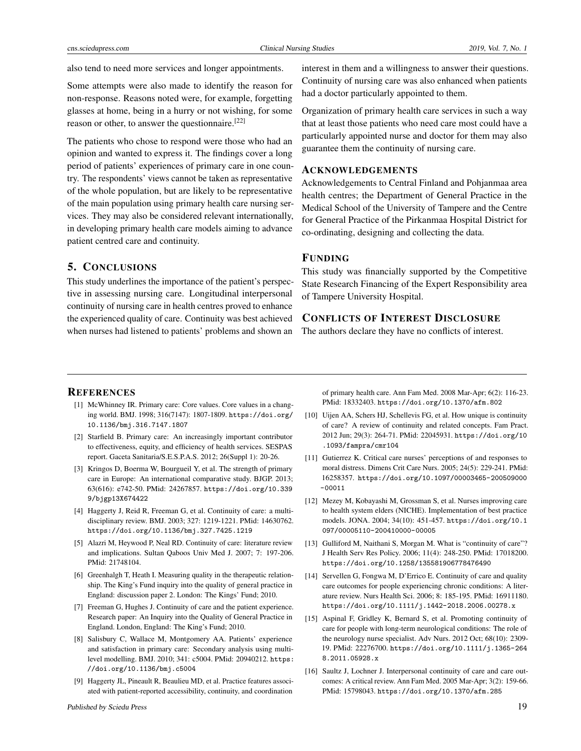also tend to need more services and longer appointments.

Some attempts were also made to identify the reason for non-response. Reasons noted were, for example, forgetting glasses at home, being in a hurry or not wishing, for some reason or other, to answer the questionnaire.[\[22\]](#page-9-5)

The patients who chose to respond were those who had an opinion and wanted to express it. The findings cover a long period of patients' experiences of primary care in one country. The respondents' views cannot be taken as representative of the whole population, but are likely to be representative of the main population using primary health care nursing services. They may also be considered relevant internationally, in developing primary health care models aiming to advance patient centred care and continuity.

# 5. CONCLUSIONS

This study underlines the importance of the patient's perspective in assessing nursing care. Longitudinal interpersonal continuity of nursing care in health centres proved to enhance the experienced quality of care. Continuity was best achieved when nurses had listened to patients' problems and shown an interest in them and a willingness to answer their questions. Continuity of nursing care was also enhanced when patients had a doctor particularly appointed to them.

Organization of primary health care services in such a way that at least those patients who need care most could have a particularly appointed nurse and doctor for them may also guarantee them the continuity of nursing care.

#### ACKNOWLEDGEMENTS

Acknowledgements to Central Finland and Pohjanmaa area health centres; the Department of General Practice in the Medical School of the University of Tampere and the Centre for General Practice of the Pirkanmaa Hospital District for co-ordinating, designing and collecting the data.

# FUNDING

This study was financially supported by the Competitive State Research Financing of the Expert Responsibility area of Tampere University Hospital.

# CONFLICTS OF INTEREST DISCLOSURE

The authors declare they have no conflicts of interest.

#### **REFERENCES**

- <span id="page-8-0"></span>[1] McWhinney IR. Primary care: Core values. Core values in a changing world. BMJ. 1998; 316(7147): 1807-1809. [https://doi.org/](https://doi.org/10.1136/bmj.316.7147.1807) [10.1136/bmj.316.7147.1807](https://doi.org/10.1136/bmj.316.7147.1807)
- [2] Starfield B. Primary care: An increasingly important contributor to effectiveness, equity, and efficiency of health services. SESPAS report. Gaceta Sanitaria/S.E.S.P.A.S. 2012; 26(Suppl 1): 20-26.
- <span id="page-8-1"></span>[3] Kringos D, Boerma W, Bourgueil Y, et al. The strength of primary care in Europe: An international comparative study. BJGP. 2013; 63(616): e742-50. PMid: 24267857. [https://doi.org/10.339](https://doi.org/10.3399/bjgp13X674422) [9/bjgp13X674422](https://doi.org/10.3399/bjgp13X674422)
- <span id="page-8-2"></span>[4] Haggerty J, Reid R, Freeman G, et al. Continuity of care: a multidisciplinary review. BMJ. 2003; 327: 1219-1221. PMid: 14630762. <https://doi.org/10.1136/bmj.327.7425.1219>
- <span id="page-8-4"></span>[5] Alazri M, Heywood P, Neal RD. Continuity of care: literature review and implications. Sultan Qaboos Univ Med J. 2007; 7: 197-206. PMid: 21748104.
- <span id="page-8-9"></span>[6] Greenhalgh T, Heath I. Measuring quality in the therapeutic relationship. The King's Fund inquiry into the quality of general practice in England: discussion paper 2. London: The Kings' Fund; 2010.
- [7] Freeman G, Hughes J. Continuity of care and the patient experience. Research paper: An Inquiry into the Quality of General Practice in England. London, England: The King's Fund; 2010.
- <span id="page-8-3"></span>[8] Salisbury C, Wallace M, Montgomery AA. Patients' experience and satisfaction in primary care: Secondary analysis using multilevel modelling. BMJ. 2010; 341: c5004. PMid: 20940212. [https:](https://doi.org/10.1136/bmj.c5004) [//doi.org/10.1136/bmj.c5004](https://doi.org/10.1136/bmj.c5004)
- <span id="page-8-5"></span>[9] Haggerty JL, Pineault R, Beaulieu MD, et al. Practice features associated with patient-reported accessibility, continuity, and coordination

of primary health care. Ann Fam Med. 2008 Mar-Apr; 6(2): 116-23. PMid: 18332403. <https://doi.org/10.1370/afm.802>

- <span id="page-8-6"></span>[10] Uijen AA, Schers HJ, Schellevis FG, et al. How unique is continuity of care? A review of continuity and related concepts. Fam Pract. 2012 Jun; 29(3): 264-71. PMid: 22045931. [https://doi.org/10](https://doi.org/10.1093/fampra/cmr104) [.1093/fampra/cmr104](https://doi.org/10.1093/fampra/cmr104)
- <span id="page-8-7"></span>[11] Gutierrez K. Critical care nurses' perceptions of and responses to moral distress. Dimens Crit Care Nurs. 2005; 24(5): 229-241. PMid: 16258357. [https://doi.org/10.1097/00003465-200509000](https://doi.org/10.1097/00003465-200509000-00011) [-00011](https://doi.org/10.1097/00003465-200509000-00011)
- <span id="page-8-8"></span>[12] Mezey M, Kobayashi M, Grossman S, et al. Nurses improving care to health system elders (NICHE). Implementation of best practice models. JONA. 2004; 34(10): 451-457. [https://doi.org/10.1](https://doi.org/10.1097/00005110-200410000-00005) [097/00005110-200410000-00005](https://doi.org/10.1097/00005110-200410000-00005)
- <span id="page-8-10"></span>[13] Gulliford M, Naithani S, Morgan M. What is "continuity of care"? J Health Serv Res Policy. 2006; 11(4): 248-250. PMid: 17018200. <https://doi.org/10.1258/135581906778476490>
- <span id="page-8-11"></span>[14] Servellen G, Fongwa M, D'Errico E. Continuity of care and quality care outcomes for people experiencing chronic conditions: A literature review. Nurs Health Sci. 2006; 8: 185-195. PMid: 16911180. <https://doi.org/10.1111/j.1442-2018.2006.00278.x>
- <span id="page-8-12"></span>[15] Aspinal F, Gridley K, Bernard S, et al. Promoting continuity of care for people with long-term neurological conditions: The role of the neurology nurse specialist. Adv Nurs. 2012 Oct; 68(10): 2309- 19. PMid: 22276700. [https://doi.org/10.1111/j.1365-264](https://doi.org/10.1111/j.1365-2648.2011.05928.x) [8.2011.05928.x](https://doi.org/10.1111/j.1365-2648.2011.05928.x)
- <span id="page-8-13"></span>[16] Saultz J, Lochner J. Interpersonal continuity of care and care outcomes: A critical review. Ann Fam Med. 2005 Mar-Apr; 3(2): 159-66. PMid: 15798043. <https://doi.org/10.1370/afm.285>